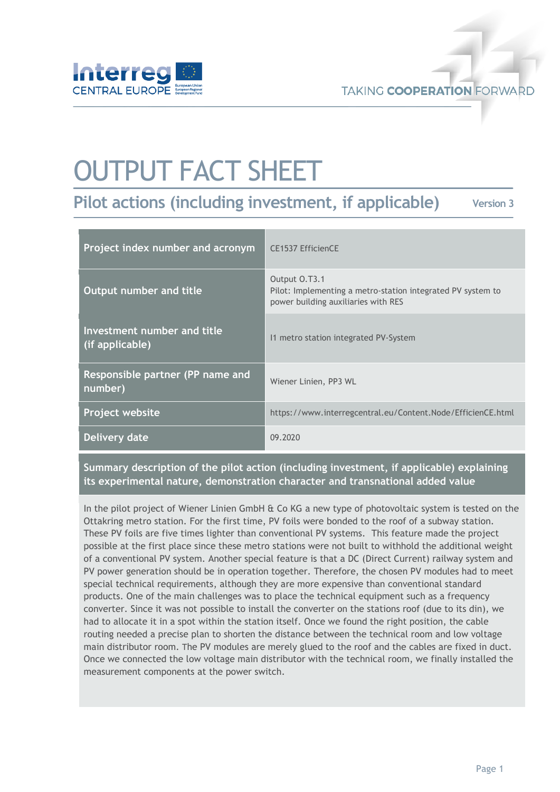

# OUTPUT FACT SHEET

**Pilot actions (including investment, if applicable)**

**Version 3**

| Project index number and acronym               | CE1537 EfficienCE                                                                                                   |
|------------------------------------------------|---------------------------------------------------------------------------------------------------------------------|
| <b>Output number and title</b>                 | Output 0.T3.1<br>Pilot: Implementing a metro-station integrated PV system to<br>power building auxiliaries with RES |
| Investment number and title<br>(if applicable) | 11 metro station integrated PV-System                                                                               |
| Responsible partner (PP name and<br>number)    | Wiener Linien, PP3 WL                                                                                               |
| Project website                                | https://www.interregcentral.eu/Content.Node/EfficienCE.html                                                         |
| Delivery date                                  | 09.2020                                                                                                             |

**Summary description of the pilot action (including investment, if applicable) explaining its experimental nature, demonstration character and transnational added value**

In the pilot project of Wiener Linien GmbH & Co KG a new type of photovoltaic system is tested on the Ottakring metro station. For the first time, PV foils were bonded to the roof of a subway station. These PV foils are five times lighter than conventional PV systems. This feature made the project possible at the first place since these metro stations were not built to withhold the additional weight of a conventional PV system. Another special feature is that a DC (Direct Current) railway system and PV power generation should be in operation together. Therefore, the chosen PV modules had to meet special technical requirements, although they are more expensive than conventional standard products. One of the main challenges was to place the technical equipment such as a frequency converter. Since it was not possible to install the converter on the stations roof (due to its din), we had to allocate it in a spot within the station itself. Once we found the right position, the cable routing needed a precise plan to shorten the distance between the technical room and low voltage main distributor room. The PV modules are merely glued to the roof and the cables are fixed in duct. Once we connected the low voltage main distributor with the technical room, we finally installed the measurement components at the power switch.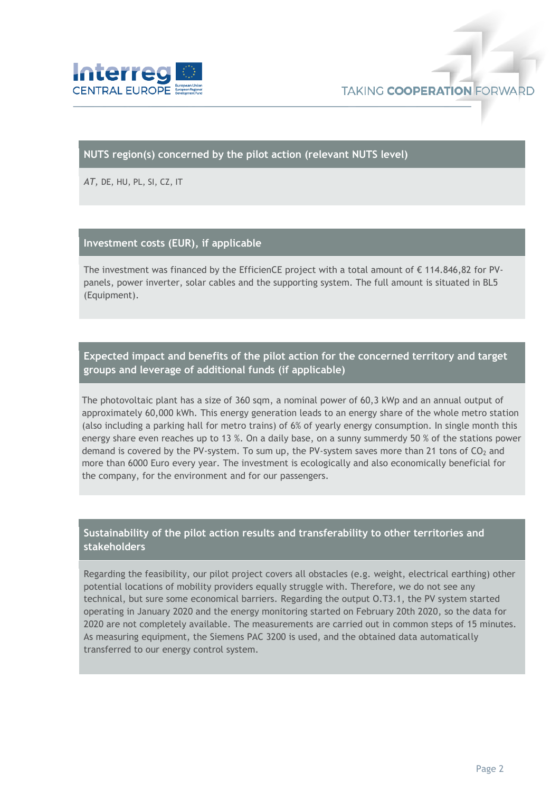

#### **NUTS region(s) concerned by the pilot action (relevant NUTS level)**

*AT,* DE, HU, PL, SI, CZ, IT

#### **Investment costs (EUR), if applicable**

The investment was financed by the EfficienCE project with a total amount of € 114.846,82 for PVpanels, power inverter, solar cables and the supporting system. The full amount is situated in BL5 (Equipment).

## **Expected impact and benefits of the pilot action for the concerned territory and target groups and leverage of additional funds (if applicable)**

The photovoltaic plant has a size of 360 sqm, a nominal power of 60,3 kWp and an annual output of approximately 60,000 kWh. This energy generation leads to an energy share of the whole metro station (also including a parking hall for metro trains) of 6% of yearly energy consumption. In single month this energy share even reaches up to 13 %. On a daily base, on a sunny summerdy 50 % of the stations power demand is covered by the PV-system. To sum up, the PV-system saves more than 21 tons of  $CO<sub>2</sub>$  and more than 6000 Euro every year. The investment is ecologically and also economically beneficial for the company, for the environment and for our passengers.

### **Sustainability of the pilot action results and transferability to other territories and stakeholders**

Regarding the feasibility, our pilot project covers all obstacles (e.g. weight, electrical earthing) other potential locations of mobility providers equally struggle with. Therefore, we do not see any technical, but sure some economical barriers. Regarding the output O.T3.1, the PV system started operating in January 2020 and the energy monitoring started on February 20th 2020, so the data for 2020 are not completely available. The measurements are carried out in common steps of 15 minutes. As measuring equipment, the Siemens PAC 3200 is used, and the obtained data automatically transferred to our energy control system.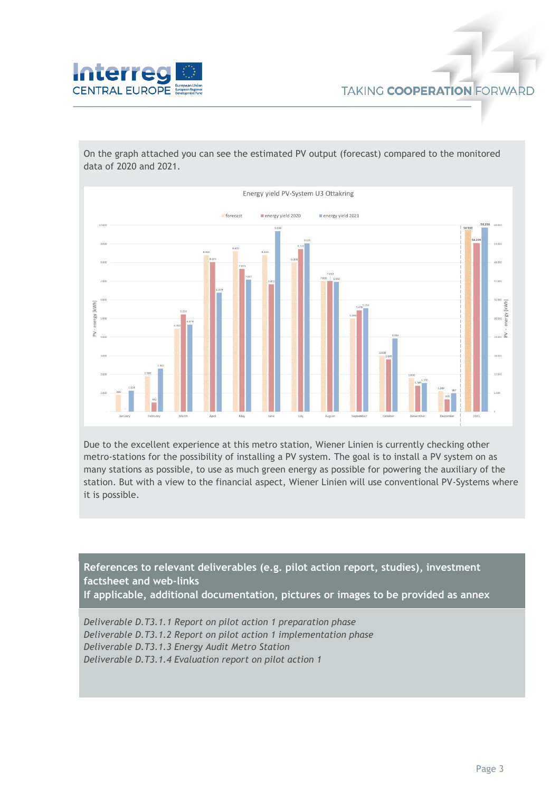

On the graph attached you can see the estimated PV output (forecast) compared to the monitored data of 2020 and 2021.



Due to the excellent experience at this metro station, Wiener Linien is currently checking other metro-stations for the possibility of installing a PV system. The goal is to install a PV system on as many stations as possible, to use as much green energy as possible for powering the auxiliary of the station. But with a view to the financial aspect, Wiener Linien will use conventional PV-Systems where it is possible.

**References to relevant deliverables (e.g. pilot action report, studies), investment factsheet and web-links If applicable, additional documentation, pictures or images to be provided as annex**

*Deliverable D.T3.1.1 Report on pilot action 1 preparation phase Deliverable D.T3.1.2 Report on pilot action 1 implementation phase Deliverable D.T3.1.3 Energy Audit Metro Station Deliverable D.T3.1.4 Evaluation report on pilot action 1*